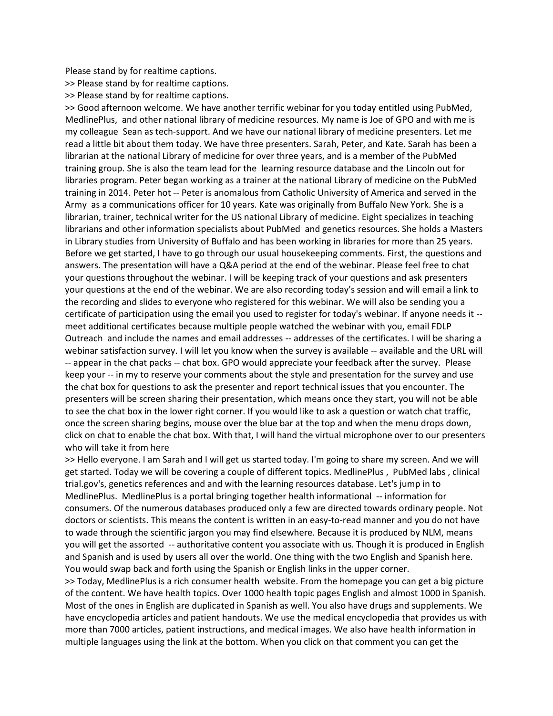Please stand by for realtime captions.

>> Please stand by for realtime captions.

>> Please stand by for realtime captions.

>> Good afternoon welcome. We have another terrific webinar for you today entitled using PubMed, MedlinePlus, and other national library of medicine resources. My name is Joe of GPO and with me is my colleague Sean as tech-support. And we have our national library of medicine presenters. Let me read a little bit about them today. We have three presenters. Sarah, Peter, and Kate. Sarah has been a librarian at the national Library of medicine for over three years, and is a member of the PubMed training group. She is also the team lead for the learning resource database and the Lincoln out for libraries program. Peter began working as a trainer at the national Library of medicine on the PubMed training in 2014. Peter hot -- Peter is anomalous from Catholic University of America and served in the Army as a communications officer for 10 years. Kate was originally from Buffalo New York. She is a librarian, trainer, technical writer for the US national Library of medicine. Eight specializes in teaching librarians and other information specialists about PubMed and genetics resources. She holds a Masters in Library studies from University of Buffalo and has been working in libraries for more than 25 years. Before we get started, I have to go through our usual housekeeping comments. First, the questions and answers. The presentation will have a Q&A period at the end of the webinar. Please feel free to chat your questions throughout the webinar. I will be keeping track of your questions and ask presenters your questions at the end of the webinar. We are also recording today's session and will email a link to the recording and slides to everyone who registered for this webinar. We will also be sending you a certificate of participation using the email you used to register for today's webinar. If anyone needs it - meet additional certificates because multiple people watched the webinar with you, email FDLP Outreach and include the names and email addresses -- addresses of the certificates. I will be sharing a webinar satisfaction survey. I will let you know when the survey is available -- available and the URL will -- appear in the chat packs -- chat box. GPO would appreciate your feedback after the survey. Please keep your -- in my to reserve your comments about the style and presentation for the survey and use the chat box for questions to ask the presenter and report technical issues that you encounter. The presenters will be screen sharing their presentation, which means once they start, you will not be able to see the chat box in the lower right corner. If you would like to ask a question or watch chat traffic, once the screen sharing begins, mouse over the blue bar at the top and when the menu drops down, click on chat to enable the chat box. With that, I will hand the virtual microphone over to our presenters who will take it from here

>> Hello everyone. I am Sarah and I will get us started today. I'm going to share my screen. And we will get started. Today we will be covering a couple of different topics. MedlinePlus , PubMed labs , clinical trial.gov's, genetics references and and with the learning resources database. Let's jump in to MedlinePlus. MedlinePlus is a portal bringing together health informational -- information for consumers. Of the numerous databases produced only a few are directed towards ordinary people. Not doctors or scientists. This means the content is written in an easy-to-read manner and you do not have to wade through the scientific jargon you may find elsewhere. Because it is produced by NLM, means you will get the assorted -- authoritative content you associate with us. Though it is produced in English and Spanish and is used by users all over the world. One thing with the two English and Spanish here. You would swap back and forth using the Spanish or English links in the upper corner.

>> Today, MedlinePlus is a rich consumer health website. From the homepage you can get a big picture of the content. We have health topics. Over 1000 health topic pages English and almost 1000 in Spanish. Most of the ones in English are duplicated in Spanish as well. You also have drugs and supplements. We have encyclopedia articles and patient handouts. We use the medical encyclopedia that provides us with more than 7000 articles, patient instructions, and medical images. We also have health information in multiple languages using the link at the bottom. When you click on that comment you can get the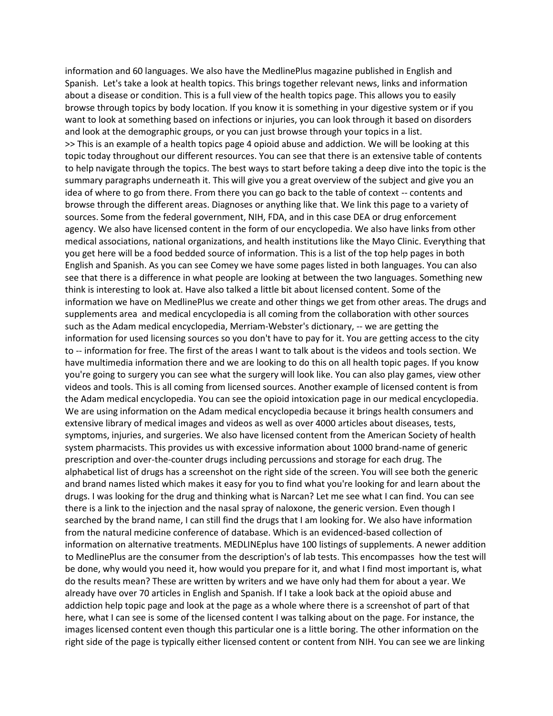information and 60 languages. We also have the MedlinePlus magazine published in English and Spanish. Let's take a look at health topics. This brings together relevant news, links and information about a disease or condition. This is a full view of the health topics page. This allows you to easily browse through topics by body location. If you know it is something in your digestive system or if you want to look at something based on infections or injuries, you can look through it based on disorders and look at the demographic groups, or you can just browse through your topics in a list. >> This is an example of a health topics page 4 opioid abuse and addiction. We will be looking at this topic today throughout our different resources. You can see that there is an extensive table of contents to help navigate through the topics. The best ways to start before taking a deep dive into the topic is the summary paragraphs underneath it. This will give you a great overview of the subject and give you an idea of where to go from there. From there you can go back to the table of context -- contents and browse through the different areas. Diagnoses or anything like that. We link this page to a variety of sources. Some from the federal government, NIH, FDA, and in this case DEA or drug enforcement agency. We also have licensed content in the form of our encyclopedia. We also have links from other medical associations, national organizations, and health institutions like the Mayo Clinic. Everything that you get here will be a food bedded source of information. This is a list of the top help pages in both English and Spanish. As you can see Comey we have some pages listed in both languages. You can also see that there is a difference in what people are looking at between the two languages. Something new think is interesting to look at. Have also talked a little bit about licensed content. Some of the information we have on MedlinePlus we create and other things we get from other areas. The drugs and supplements area and medical encyclopedia is all coming from the collaboration with other sources such as the Adam medical encyclopedia, Merriam-Webster's dictionary, -- we are getting the information for used licensing sources so you don't have to pay for it. You are getting access to the city to -- information for free. The first of the areas I want to talk about is the videos and tools section. We have multimedia information there and we are looking to do this on all health topic pages. If you know you're going to surgery you can see what the surgery will look like. You can also play games, view other videos and tools. This is all coming from licensed sources. Another example of licensed content is from the Adam medical encyclopedia. You can see the opioid intoxication page in our medical encyclopedia. We are using information on the Adam medical encyclopedia because it brings health consumers and extensive library of medical images and videos as well as over 4000 articles about diseases, tests, symptoms, injuries, and surgeries. We also have licensed content from the American Society of health system pharmacists. This provides us with excessive information about 1000 brand-name of generic prescription and over-the-counter drugs including percussions and storage for each drug. The alphabetical list of drugs has a screenshot on the right side of the screen. You will see both the generic and brand names listed which makes it easy for you to find what you're looking for and learn about the drugs. I was looking for the drug and thinking what is Narcan? Let me see what I can find. You can see there is a link to the injection and the nasal spray of naloxone, the generic version. Even though I searched by the brand name, I can still find the drugs that I am looking for. We also have information from the natural medicine conference of database. Which is an evidenced-based collection of information on alternative treatments. MEDLINEplus have 100 listings of supplements. A newer addition to MedlinePlus are the consumer from the description's of lab tests. This encompasses how the test will be done, why would you need it, how would you prepare for it, and what I find most important is, what do the results mean? These are written by writers and we have only had them for about a year. We already have over 70 articles in English and Spanish. If I take a look back at the opioid abuse and addiction help topic page and look at the page as a whole where there is a screenshot of part of that here, what I can see is some of the licensed content I was talking about on the page. For instance, the images licensed content even though this particular one is a little boring. The other information on the right side of the page is typically either licensed content or content from NIH. You can see we are linking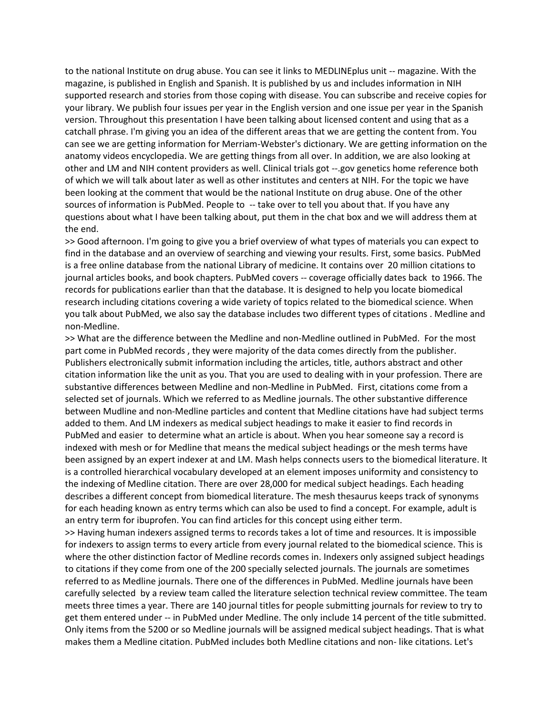to the national Institute on drug abuse. You can see it links to MEDLINEplus unit -- magazine. With the magazine, is published in English and Spanish. It is published by us and includes information in NIH supported research and stories from those coping with disease. You can subscribe and receive copies for your library. We publish four issues per year in the English version and one issue per year in the Spanish version. Throughout this presentation I have been talking about licensed content and using that as a catchall phrase. I'm giving you an idea of the different areas that we are getting the content from. You can see we are getting information for Merriam-Webster's dictionary. We are getting information on the anatomy videos encyclopedia. We are getting things from all over. In addition, we are also looking at other and LM and NIH content providers as well. Clinical trials got --.gov genetics home reference both of which we will talk about later as well as other institutes and centers at NIH. For the topic we have been looking at the comment that would be the national Institute on drug abuse. One of the other sources of information is PubMed. People to -- take over to tell you about that. If you have any questions about what I have been talking about, put them in the chat box and we will address them at the end.

>> Good afternoon. I'm going to give you a brief overview of what types of materials you can expect to find in the database and an overview of searching and viewing your results. First, some basics. PubMed is a free online database from the national Library of medicine. It contains over 20 million citations to journal articles books, and book chapters. PubMed covers -- coverage officially dates back to 1966. The records for publications earlier than that the database. It is designed to help you locate biomedical research including citations covering a wide variety of topics related to the biomedical science. When you talk about PubMed, we also say the database includes two different types of citations . Medline and non-Medline.

>> What are the difference between the Medline and non-Medline outlined in PubMed. For the most part come in PubMed records , they were majority of the data comes directly from the publisher. Publishers electronically submit information including the articles, title, authors abstract and other citation information like the unit as you. That you are used to dealing with in your profession. There are substantive differences between Medline and non-Medline in PubMed. First, citations come from a selected set of journals. Which we referred to as Medline journals. The other substantive difference between Mudline and non-Medline particles and content that Medline citations have had subject terms added to them. And LM indexers as medical subject headings to make it easier to find records in PubMed and easier to determine what an article is about. When you hear someone say a record is indexed with mesh or for Medline that means the medical subject headings or the mesh terms have been assigned by an expert indexer at and LM. Mash helps connects users to the biomedical literature. It is a controlled hierarchical vocabulary developed at an element imposes uniformity and consistency to the indexing of Medline citation. There are over 28,000 for medical subject headings. Each heading describes a different concept from biomedical literature. The mesh thesaurus keeps track of synonyms for each heading known as entry terms which can also be used to find a concept. For example, adult is an entry term for ibuprofen. You can find articles for this concept using either term.

>> Having human indexers assigned terms to records takes a lot of time and resources. It is impossible for indexers to assign terms to every article from every journal related to the biomedical science. This is where the other distinction factor of Medline records comes in. Indexers only assigned subject headings to citations if they come from one of the 200 specially selected journals. The journals are sometimes referred to as Medline journals. There one of the differences in PubMed. Medline journals have been carefully selected by a review team called the literature selection technical review committee. The team meets three times a year. There are 140 journal titles for people submitting journals for review to try to get them entered under -- in PubMed under Medline. The only include 14 percent of the title submitted. Only items from the 5200 or so Medline journals will be assigned medical subject headings. That is what makes them a Medline citation. PubMed includes both Medline citations and non- like citations. Let's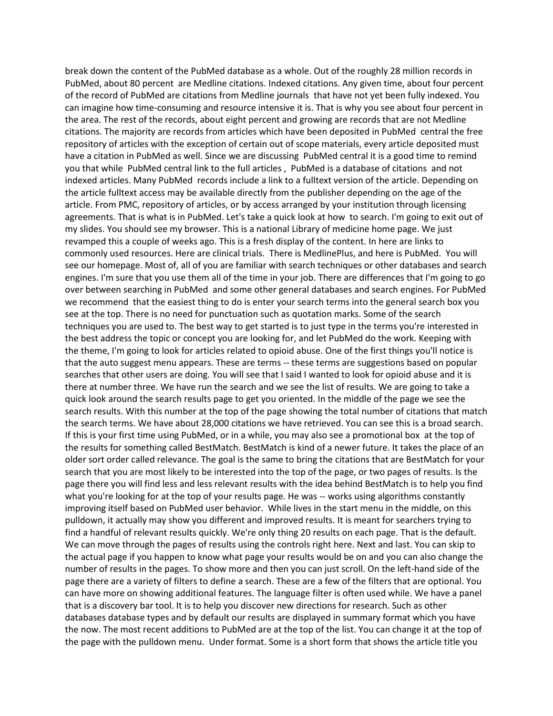break down the content of the PubMed database as a whole. Out of the roughly 28 million records in PubMed, about 80 percent are Medline citations. Indexed citations. Any given time, about four percent of the record of PubMed are citations from Medline journals that have not yet been fully indexed. You can imagine how time-consuming and resource intensive it is. That is why you see about four percent in the area. The rest of the records, about eight percent and growing are records that are not Medline citations. The majority are records from articles which have been deposited in PubMed central the free repository of articles with the exception of certain out of scope materials, every article deposited must have a citation in PubMed as well. Since we are discussing PubMed central it is a good time to remind you that while PubMed central link to the full articles , PubMed is a database of citations and not indexed articles. Many PubMed records include a link to a fulltext version of the article. Depending on the article fulltext access may be available directly from the publisher depending on the age of the article. From PMC, repository of articles, or by access arranged by your institution through licensing agreements. That is what is in PubMed. Let's take a quick look at how to search. I'm going to exit out of my slides. You should see my browser. This is a national Library of medicine home page. We just revamped this a couple of weeks ago. This is a fresh display of the content. In here are links to commonly used resources. Here are clinical trials. There is MedlinePlus, and here is PubMed. You will see our homepage. Most of, all of you are familiar with search techniques or other databases and search engines. I'm sure that you use them all of the time in your job. There are differences that I'm going to go over between searching in PubMed and some other general databases and search engines. For PubMed we recommend that the easiest thing to do is enter your search terms into the general search box you see at the top. There is no need for punctuation such as quotation marks. Some of the search techniques you are used to. The best way to get started is to just type in the terms you're interested in the best address the topic or concept you are looking for, and let PubMed do the work. Keeping with the theme, I'm going to look for articles related to opioid abuse. One of the first things you'll notice is that the auto suggest menu appears. These are terms -- these terms are suggestions based on popular searches that other users are doing. You will see that I said I wanted to look for opioid abuse and it is there at number three. We have run the search and we see the list of results. We are going to take a quick look around the search results page to get you oriented. In the middle of the page we see the search results. With this number at the top of the page showing the total number of citations that match the search terms. We have about 28,000 citations we have retrieved. You can see this is a broad search. If this is your first time using PubMed, or in a while, you may also see a promotional box at the top of the results for something called BestMatch. BestMatch is kind of a newer future. It takes the place of an older sort order called relevance. The goal is the same to bring the citations that are BestMatch for your search that you are most likely to be interested into the top of the page, or two pages of results. Is the page there you will find less and less relevant results with the idea behind BestMatch is to help you find what you're looking for at the top of your results page. He was -- works using algorithms constantly improving itself based on PubMed user behavior. While lives in the start menu in the middle, on this pulldown, it actually may show you different and improved results. It is meant for searchers trying to find a handful of relevant results quickly. We're only thing 20 results on each page. That is the default. We can move through the pages of results using the controls right here. Next and last. You can skip to the actual page if you happen to know what page your results would be on and you can also change the number of results in the pages. To show more and then you can just scroll. On the left-hand side of the page there are a variety of filters to define a search. These are a few of the filters that are optional. You can have more on showing additional features. The language filter is often used while. We have a panel that is a discovery bar tool. It is to help you discover new directions for research. Such as other databases database types and by default our results are displayed in summary format which you have the now. The most recent additions to PubMed are at the top of the list. You can change it at the top of the page with the pulldown menu. Under format. Some is a short form that shows the article title you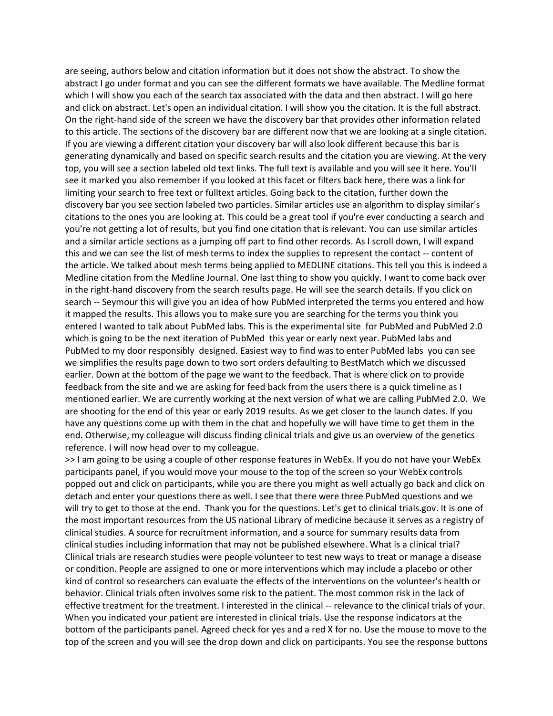are seeing, authors below and citation information but it does not show the abstract. To show the abstract I go under format and you can see the different formats we have available. The Medline format which I will show you each of the search tax associated with the data and then abstract. I will go here and click on abstract. Let's open an individual citation. I will show you the citation. It is the full abstract. On the right-hand side of the screen we have the discovery bar that provides other information related to this article. The sections of the discovery bar are different now that we are looking at a single citation. If you are viewing a different citation your discovery bar will also look different because this bar is generating dynamically and based on specific search results and the citation you are viewing. At the very top, you will see a section labeled old text links. The full text is available and you will see it here. You'll see it marked you also remember if you looked at this facet or filters back here, there was a link for limiting your search to free text or fulltext articles. Going back to the citation, further down the discovery bar you see section labeled two particles. Similar articles use an algorithm to display similar's citations to the ones you are looking at. This could be a great tool if you're ever conducting a search and you're not getting a lot of results, but you find one citation that is relevant. You can use similar articles and a similar article sections as a jumping off part to find other records. As I scroll down, I will expand this and we can see the list of mesh terms to index the supplies to represent the contact -- content of the article. We talked about mesh terms being applied to MEDLINE citations. This tell you this is indeed a Medline citation from the Medline Journal. One last thing to show you quickly. I want to come back over in the right-hand discovery from the search results page. He will see the search details. If you click on search -- Seymour this will give you an idea of how PubMed interpreted the terms you entered and how it mapped the results. This allows you to make sure you are searching for the terms you think you entered I wanted to talk about PubMed labs. This is the experimental site for PubMed and PubMed 2.0 which is going to be the next iteration of PubMed this year or early next year. PubMed labs and PubMed to my door responsibly designed. Easiest way to find was to enter PubMed labs you can see we simplifies the results page down to two sort orders defaulting to BestMatch which we discussed earlier. Down at the bottom of the page we want to the feedback. That is where click on to provide feedback from the site and we are asking for feed back from the users there is a quick timeline as I mentioned earlier. We are currently working at the next version of what we are calling PubMed 2.0. We are shooting for the end of this year or early 2019 results. As we get closer to the launch dates. If you have any questions come up with them in the chat and hopefully we will have time to get them in the end. Otherwise, my colleague will discuss finding clinical trials and give us an overview of the genetics reference. I will now head over to my colleague.

>> I am going to be using a couple of other response features in WebEx. If you do not have your WebEx participants panel, if you would move your mouse to the top of the screen so your WebEx controls popped out and click on participants, while you are there you might as well actually go back and click on detach and enter your questions there as well. I see that there were three PubMed questions and we will try to get to those at the end. Thank you for the questions. Let's get to clinical trials.gov. It is one of the most important resources from the US national Library of medicine because it serves as a registry of clinical studies. A source for recruitment information, and a source for summary results data from clinical studies including information that may not be published elsewhere. What is a clinical trial? Clinical trials are research studies were people volunteer to test new ways to treat or manage a disease or condition. People are assigned to one or more interventions which may include a placebo or other kind of control so researchers can evaluate the effects of the interventions on the volunteer's health or behavior. Clinical trials often involves some risk to the patient. The most common risk in the lack of effective treatment for the treatment. I interested in the clinical -- relevance to the clinical trials of your. When you indicated your patient are interested in clinical trials. Use the response indicators at the bottom of the participants panel. Agreed check for yes and a red X for no. Use the mouse to move to the top of the screen and you will see the drop down and click on participants. You see the response buttons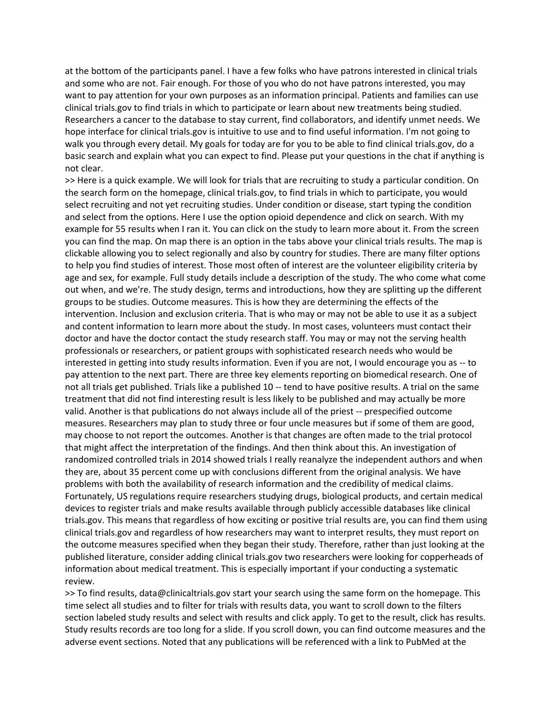at the bottom of the participants panel. I have a few folks who have patrons interested in clinical trials and some who are not. Fair enough. For those of you who do not have patrons interested, you may want to pay attention for your own purposes as an information principal. Patients and families can use clinical trials.gov to find trials in which to participate or learn about new treatments being studied. Researchers a cancer to the database to stay current, find collaborators, and identify unmet needs. We hope interface for clinical trials.gov is intuitive to use and to find useful information. I'm not going to walk you through every detail. My goals for today are for you to be able to find clinical trials.gov, do a basic search and explain what you can expect to find. Please put your questions in the chat if anything is not clear.

>> Here is a quick example. We will look for trials that are recruiting to study a particular condition. On the search form on the homepage, clinical trials.gov, to find trials in which to participate, you would select recruiting and not yet recruiting studies. Under condition or disease, start typing the condition and select from the options. Here I use the option opioid dependence and click on search. With my example for 55 results when I ran it. You can click on the study to learn more about it. From the screen you can find the map. On map there is an option in the tabs above your clinical trials results. The map is clickable allowing you to select regionally and also by country for studies. There are many filter options to help you find studies of interest. Those most often of interest are the volunteer eligibility criteria by age and sex, for example. Full study details include a description of the study. The who come what come out when, and we're. The study design, terms and introductions, how they are splitting up the different groups to be studies. Outcome measures. This is how they are determining the effects of the intervention. Inclusion and exclusion criteria. That is who may or may not be able to use it as a subject and content information to learn more about the study. In most cases, volunteers must contact their doctor and have the doctor contact the study research staff. You may or may not the serving health professionals or researchers, or patient groups with sophisticated research needs who would be interested in getting into study results information. Even if you are not, I would encourage you as -- to pay attention to the next part. There are three key elements reporting on biomedical research. One of not all trials get published. Trials like a published 10 -- tend to have positive results. A trial on the same treatment that did not find interesting result is less likely to be published and may actually be more valid. Another is that publications do not always include all of the priest -- prespecified outcome measures. Researchers may plan to study three or four uncle measures but if some of them are good, may choose to not report the outcomes. Another is that changes are often made to the trial protocol that might affect the interpretation of the findings. And then think about this. An investigation of randomized controlled trials in 2014 showed trials I really reanalyze the independent authors and when they are, about 35 percent come up with conclusions different from the original analysis. We have problems with both the availability of research information and the credibility of medical claims. Fortunately, US regulations require researchers studying drugs, biological products, and certain medical devices to register trials and make results available through publicly accessible databases like clinical trials.gov. This means that regardless of how exciting or positive trial results are, you can find them using clinical trials.gov and regardless of how researchers may want to interpret results, they must report on the outcome measures specified when they began their study. Therefore, rather than just looking at the published literature, consider adding clinical trials.gov two researchers were looking for copperheads of information about medical treatment. This is especially important if your conducting a systematic review.

>> To find results, data@clinicaltrials.gov start your search using the same form on the homepage. This time select all studies and to filter for trials with results data, you want to scroll down to the filters section labeled study results and select with results and click apply. To get to the result, click has results. Study results records are too long for a slide. If you scroll down, you can find outcome measures and the adverse event sections. Noted that any publications will be referenced with a link to PubMed at the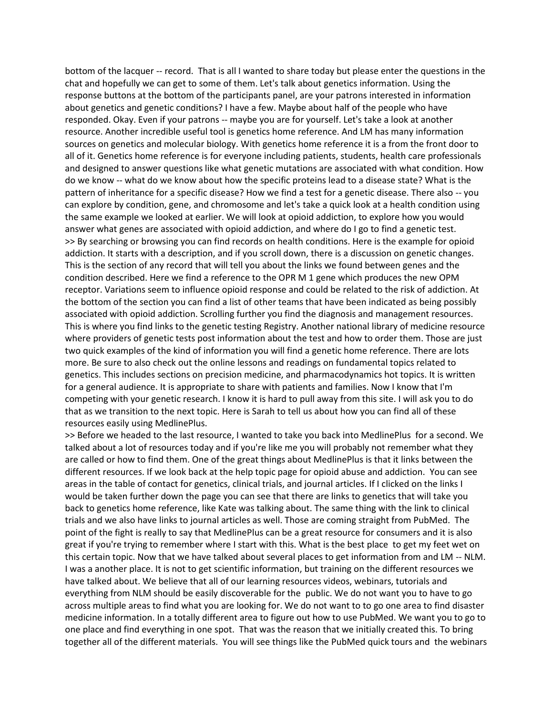bottom of the lacquer -- record. That is all I wanted to share today but please enter the questions in the chat and hopefully we can get to some of them. Let's talk about genetics information. Using the response buttons at the bottom of the participants panel, are your patrons interested in information about genetics and genetic conditions? I have a few. Maybe about half of the people who have responded. Okay. Even if your patrons -- maybe you are for yourself. Let's take a look at another resource. Another incredible useful tool is genetics home reference. And LM has many information sources on genetics and molecular biology. With genetics home reference it is a from the front door to all of it. Genetics home reference is for everyone including patients, students, health care professionals and designed to answer questions like what genetic mutations are associated with what condition. How do we know -- what do we know about how the specific proteins lead to a disease state? What is the pattern of inheritance for a specific disease? How we find a test for a genetic disease. There also -- you can explore by condition, gene, and chromosome and let's take a quick look at a health condition using the same example we looked at earlier. We will look at opioid addiction, to explore how you would answer what genes are associated with opioid addiction, and where do I go to find a genetic test. >> By searching or browsing you can find records on health conditions. Here is the example for opioid addiction. It starts with a description, and if you scroll down, there is a discussion on genetic changes. This is the section of any record that will tell you about the links we found between genes and the condition described. Here we find a reference to the OPR M 1 gene which produces the new OPM receptor. Variations seem to influence opioid response and could be related to the risk of addiction. At the bottom of the section you can find a list of other teams that have been indicated as being possibly associated with opioid addiction. Scrolling further you find the diagnosis and management resources. This is where you find links to the genetic testing Registry. Another national library of medicine resource where providers of genetic tests post information about the test and how to order them. Those are just two quick examples of the kind of information you will find a genetic home reference. There are lots more. Be sure to also check out the online lessons and readings on fundamental topics related to genetics. This includes sections on precision medicine, and pharmacodynamics hot topics. It is written for a general audience. It is appropriate to share with patients and families. Now I know that I'm competing with your genetic research. I know it is hard to pull away from this site. I will ask you to do that as we transition to the next topic. Here is Sarah to tell us about how you can find all of these resources easily using MedlinePlus.

>> Before we headed to the last resource, I wanted to take you back into MedlinePlus for a second. We talked about a lot of resources today and if you're like me you will probably not remember what they are called or how to find them. One of the great things about MedlinePlus is that it links between the different resources. If we look back at the help topic page for opioid abuse and addiction. You can see areas in the table of contact for genetics, clinical trials, and journal articles. If I clicked on the links I would be taken further down the page you can see that there are links to genetics that will take you back to genetics home reference, like Kate was talking about. The same thing with the link to clinical trials and we also have links to journal articles as well. Those are coming straight from PubMed. The point of the fight is really to say that MedlinePlus can be a great resource for consumers and it is also great if you're trying to remember where I start with this. What is the best place to get my feet wet on this certain topic. Now that we have talked about several places to get information from and LM -- NLM. I was a another place. It is not to get scientific information, but training on the different resources we have talked about. We believe that all of our learning resources videos, webinars, tutorials and everything from NLM should be easily discoverable for the public. We do not want you to have to go across multiple areas to find what you are looking for. We do not want to to go one area to find disaster medicine information. In a totally different area to figure out how to use PubMed. We want you to go to one place and find everything in one spot. That was the reason that we initially created this. To bring together all of the different materials. You will see things like the PubMed quick tours and the webinars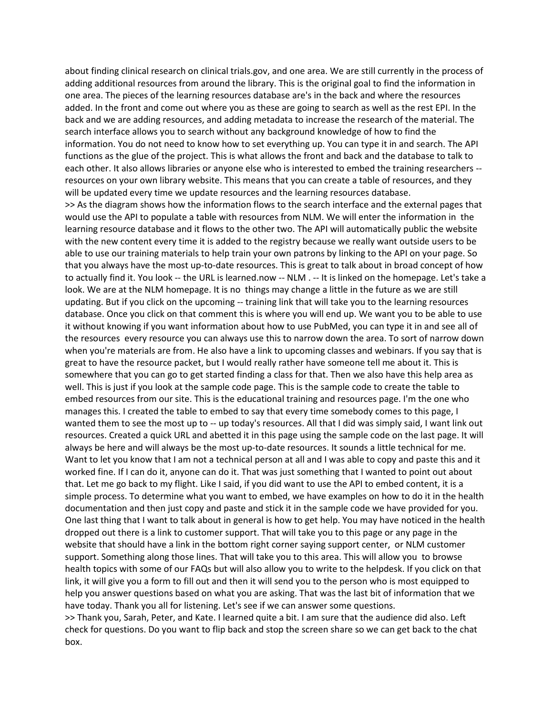about finding clinical research on clinical trials.gov, and one area. We are still currently in the process of adding additional resources from around the library. This is the original goal to find the information in one area. The pieces of the learning resources database are's in the back and where the resources added. In the front and come out where you as these are going to search as well as the rest EPI. In the back and we are adding resources, and adding metadata to increase the research of the material. The search interface allows you to search without any background knowledge of how to find the information. You do not need to know how to set everything up. You can type it in and search. The API functions as the glue of the project. This is what allows the front and back and the database to talk to each other. It also allows libraries or anyone else who is interested to embed the training researchers - resources on your own library website. This means that you can create a table of resources, and they will be updated every time we update resources and the learning resources database.

>> As the diagram shows how the information flows to the search interface and the external pages that would use the API to populate a table with resources from NLM. We will enter the information in the learning resource database and it flows to the other two. The API will automatically public the website with the new content every time it is added to the registry because we really want outside users to be able to use our training materials to help train your own patrons by linking to the API on your page. So that you always have the most up-to-date resources. This is great to talk about in broad concept of how to actually find it. You look -- the URL is learned.now -- NLM . -- It is linked on the homepage. Let's take a look. We are at the NLM homepage. It is no things may change a little in the future as we are still updating. But if you click on the upcoming -- training link that will take you to the learning resources database. Once you click on that comment this is where you will end up. We want you to be able to use it without knowing if you want information about how to use PubMed, you can type it in and see all of the resources every resource you can always use this to narrow down the area. To sort of narrow down when you're materials are from. He also have a link to upcoming classes and webinars. If you say that is great to have the resource packet, but I would really rather have someone tell me about it. This is somewhere that you can go to get started finding a class for that. Then we also have this help area as well. This is just if you look at the sample code page. This is the sample code to create the table to embed resources from our site. This is the educational training and resources page. I'm the one who manages this. I created the table to embed to say that every time somebody comes to this page, I wanted them to see the most up to -- up today's resources. All that I did was simply said, I want link out resources. Created a quick URL and abetted it in this page using the sample code on the last page. It will always be here and will always be the most up-to-date resources. It sounds a little technical for me. Want to let you know that I am not a technical person at all and I was able to copy and paste this and it worked fine. If I can do it, anyone can do it. That was just something that I wanted to point out about that. Let me go back to my flight. Like I said, if you did want to use the API to embed content, it is a simple process. To determine what you want to embed, we have examples on how to do it in the health documentation and then just copy and paste and stick it in the sample code we have provided for you. One last thing that I want to talk about in general is how to get help. You may have noticed in the health dropped out there is a link to customer support. That will take you to this page or any page in the website that should have a link in the bottom right corner saying support center, or NLM customer support. Something along those lines. That will take you to this area. This will allow you to browse health topics with some of our FAQs but will also allow you to write to the helpdesk. If you click on that link, it will give you a form to fill out and then it will send you to the person who is most equipped to help you answer questions based on what you are asking. That was the last bit of information that we have today. Thank you all for listening. Let's see if we can answer some questions. >> Thank you, Sarah, Peter, and Kate. I learned quite a bit. I am sure that the audience did also. Left

check for questions. Do you want to flip back and stop the screen share so we can get back to the chat box.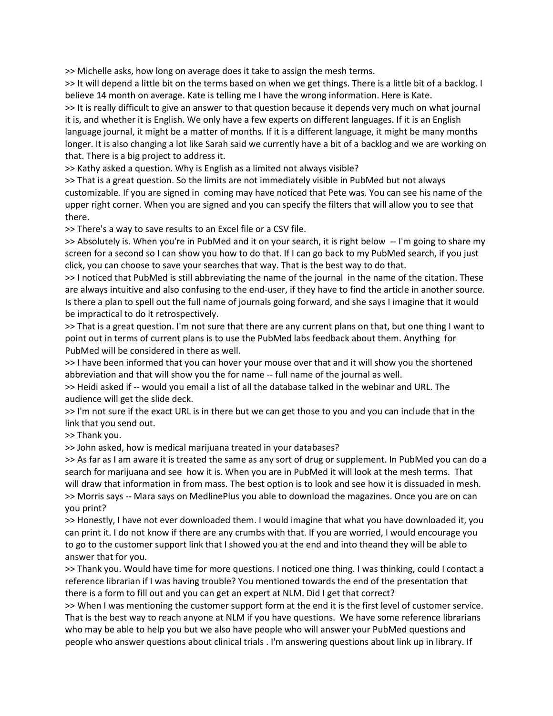>> Michelle asks, how long on average does it take to assign the mesh terms.

>> It will depend a little bit on the terms based on when we get things. There is a little bit of a backlog. I believe 14 month on average. Kate is telling me I have the wrong information. Here is Kate.

>> It is really difficult to give an answer to that question because it depends very much on what journal it is, and whether it is English. We only have a few experts on different languages. If it is an English language journal, it might be a matter of months. If it is a different language, it might be many months longer. It is also changing a lot like Sarah said we currently have a bit of a backlog and we are working on that. There is a big project to address it.

>> Kathy asked a question. Why is English as a limited not always visible?

>> That is a great question. So the limits are not immediately visible in PubMed but not always customizable. If you are signed in coming may have noticed that Pete was. You can see his name of the upper right corner. When you are signed and you can specify the filters that will allow you to see that there.

>> There's a way to save results to an Excel file or a CSV file.

>> Absolutely is. When you're in PubMed and it on your search, it is right below -- I'm going to share my screen for a second so I can show you how to do that. If I can go back to my PubMed search, if you just click, you can choose to save your searches that way. That is the best way to do that.

>> I noticed that PubMed is still abbreviating the name of the journal in the name of the citation. These are always intuitive and also confusing to the end-user, if they have to find the article in another source. Is there a plan to spell out the full name of journals going forward, and she says I imagine that it would be impractical to do it retrospectively.

>> That is a great question. I'm not sure that there are any current plans on that, but one thing I want to point out in terms of current plans is to use the PubMed labs feedback about them. Anything for PubMed will be considered in there as well.

>> I have been informed that you can hover your mouse over that and it will show you the shortened abbreviation and that will show you the for name -- full name of the journal as well.

>> Heidi asked if -- would you email a list of all the database talked in the webinar and URL. The audience will get the slide deck.

>> I'm not sure if the exact URL is in there but we can get those to you and you can include that in the link that you send out.

>> Thank you.

>> John asked, how is medical marijuana treated in your databases?

>> As far as I am aware it is treated the same as any sort of drug or supplement. In PubMed you can do a search for marijuana and see how it is. When you are in PubMed it will look at the mesh terms. That will draw that information in from mass. The best option is to look and see how it is dissuaded in mesh. >> Morris says -- Mara says on MedlinePlus you able to download the magazines. Once you are on can you print?

>> Honestly, I have not ever downloaded them. I would imagine that what you have downloaded it, you can print it. I do not know if there are any crumbs with that. If you are worried, I would encourage you to go to the customer support link that I showed you at the end and into theand they will be able to answer that for you.

>> Thank you. Would have time for more questions. I noticed one thing. I was thinking, could I contact a reference librarian if I was having trouble? You mentioned towards the end of the presentation that there is a form to fill out and you can get an expert at NLM. Did I get that correct?

>> When I was mentioning the customer support form at the end it is the first level of customer service. That is the best way to reach anyone at NLM if you have questions. We have some reference librarians who may be able to help you but we also have people who will answer your PubMed questions and people who answer questions about clinical trials . I'm answering questions about link up in library. If